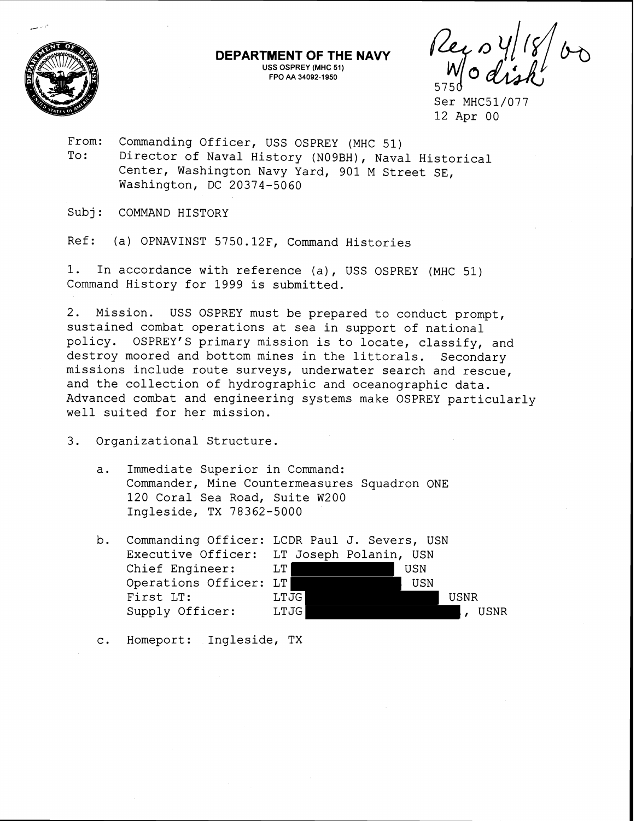

 $\frac{1}{2}$   $\frac{1}{2}$ 

Ser MHC51/077 12 Apr 00

From: Commanding Officer, USS OSPREY (MHC 51) To: Director of Naval History (NOgBH), Naval Historical Center, Washington Navy Yard, 901 M Street SE, Washington, DC 20374-5060

**DEPARTMENT OF THE NAVY USS OSPREY (MHC 51) FPO AA 34092-1950** 

Subj: COMMAND HISTORY

Ref: (a) OPNAVINST 5750.12F, Command Histories

1. In accordance with reference (a), USS OSPREY (MHC 51) Command History for 1999 is submitted.

2. Mission. USS OSPREY must be prepared to conduct prompt, sustained combat operations at sea in support of national policy. OSPREY'S primary mission is to locate, classify, and destroy moored and bottom mines in the littorals. Secondary missions include route surveys, underwater search and rescue, and the collection of hydrographic and oceanographic data. Advanced combat and engineering systems make OSPREY particularly well suited for her mission.

- 3. Organizational Structure.
	- a. Immediate Superior in Command: Commander, Mine Countermeasures Squadron ONE 120 Coral Sea Road, Suite W200 Ingleside, TX 78362-5000
	- b. Commanding Officer: LCDR Paul J. Severs, USN Executive Officer: LT Joseph Polanin, USN<br>Chief Engineer: LT Chief Engineer: LT , USN Operations Officer: LT , USN First LT: LTJG **LITURE 1988** USNR Supply Officer: LTJG ... LTJG ... LTJG ... LTJG ... LTJG ... LTJG ... LTJG ... LTJG ... LTJG ... LTJG ... LTJG

c. Homeport: Ingleside, TX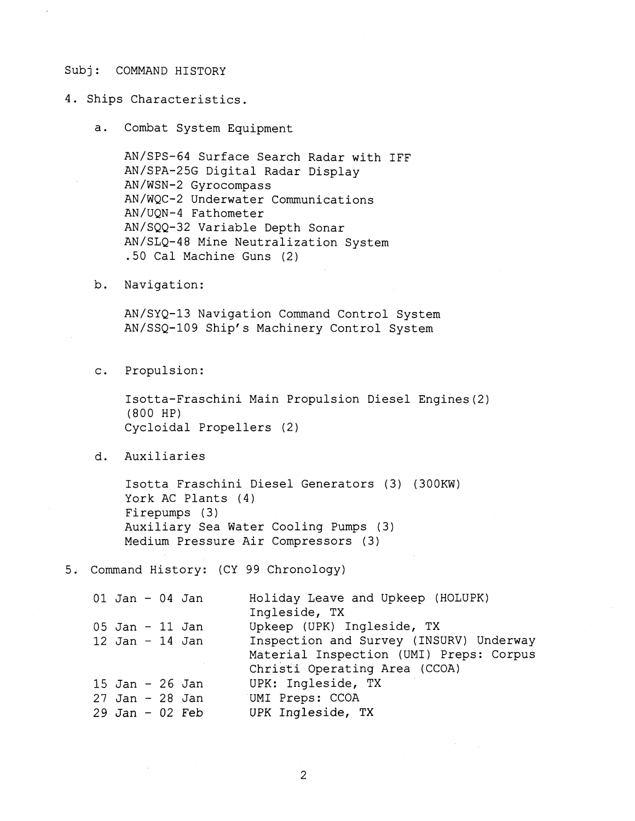## Subj: COMMAND HISTORY

4. Ships Characteristics.

a. Combat System Equipment

AN/SPS-64 Surface Search Radar with IFF AN/SPA-25G Digital Radar Display AN/WSN-2 Gyrocompass AN/WQC-2 Underwater Communications AN/UQN-4 Fathometer AN/SQQ-32 Variable Depth Sonar AN/SLQ-48 Mine Neutralization System .50 Cal Machine Guns (2)

b. Navigation:

AN/SYQ-13 Navigation Command Control System AN/SSQ-109 Ship's Machinery Control System

c. Propulsion:

Isotta-Fraschini Main Propulsion Diesel Engines(2) (800 HP) Cycloidal Propellers (2)

d. Auxiliaries

Isotta Fraschini Diesel Generators (3) (300KW) York AC Plants (4) Firepumps (3) Auxiliary Sea Water Cooling Pumps (3) Medium Pressure Air Compressors (3)

5. Command History: (CY 99 Chronology)

| $01$ Jan - 04 Jan |  | Holiday Leave and Upkeep (HOLUPK)<br>Ingleside, TX                                                                  |
|-------------------|--|---------------------------------------------------------------------------------------------------------------------|
| $05$ Jan - 11 Jan |  | Upkeep (UPK) Ingleside, TX                                                                                          |
| $12$ Jan - 14 Jan |  | Inspection and Survey (INSURV) Underway<br>Material Inspection (UMI) Preps: Corpus<br>Christi Operating Area (CCOA) |
| 15 Jan - 26 Jan   |  | UPK: Ingleside, TX                                                                                                  |
| $27$ Jan - 28 Jan |  | UMI Preps: CCOA                                                                                                     |
| $29$ Jan - 02 Feb |  | UPK Ingleside, TX                                                                                                   |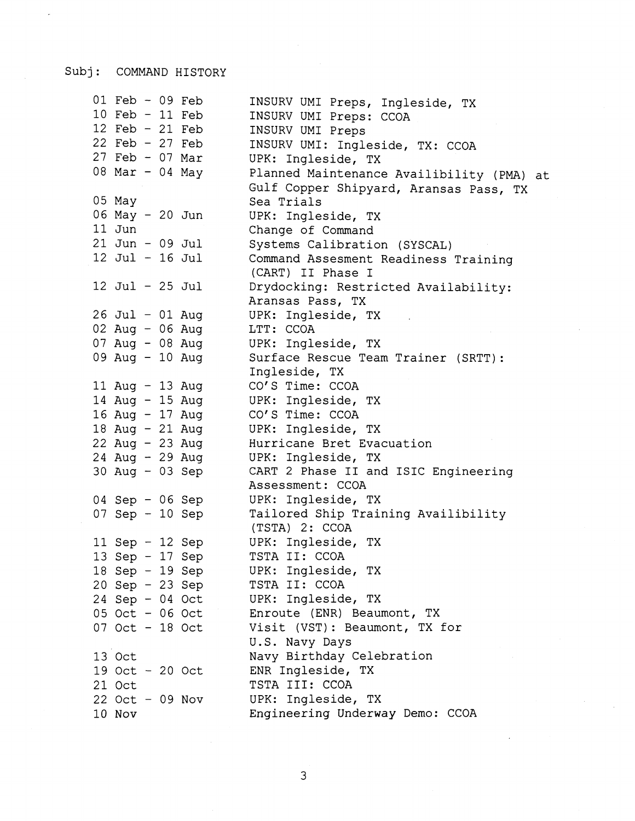## Subj: COMMAND HISTORY

 $\ddot{\phantom{a}}$ 

| $01$ Feb - 09 Feb<br>10 Feb - 11 Feb<br>12 Feb - 21 Feb | INSURV UMI Preps, Ingleside, TX<br>INSURV UMI Preps: CCOA<br>INSURV UMI Preps       |
|---------------------------------------------------------|-------------------------------------------------------------------------------------|
| 22 Feb $-27$ Feb                                        | INSURV UMI: Ingleside, TX: CCOA                                                     |
| 27 Feb - 07 Mar                                         | UPK: Ingleside, TX                                                                  |
| 08 Mar - 04 May                                         | Planned Maintenance Availibility (PMA) at<br>Gulf Copper Shipyard, Aransas Pass, TX |
| 05 May                                                  | Sea Trials                                                                          |
| 06 May - 20 Jun                                         | UPK: Ingleside, TX                                                                  |
| 11 Jun                                                  | Change of Command                                                                   |
| $21$ Jun - 09 Jul                                       | Systems Calibration (SYSCAL)                                                        |
| 12 Jul - 16 Jul                                         | Command Assesment Readiness Training<br>(CART) II Phase I                           |
| $12$ Jul - $25$ Jul                                     | Drydocking: Restricted Availability:                                                |
|                                                         | Aransas Pass, TX                                                                    |
| 26 Jul - 01 Aug                                         | UPK: Ingleside, TX                                                                  |
| 02 Aug - 06 Aug                                         | LTT: CCOA                                                                           |
| 07 Aug - 08 Aug                                         | UPK: Ingleside, TX                                                                  |
| 09 Aug - 10 Aug                                         | Surface Rescue Team Trainer (SRTT):                                                 |
|                                                         | Ingleside, TX                                                                       |
| 11 Aug - 13 Aug                                         | CO'S Time: CCOA                                                                     |
| 14 Aug - 15 Aug                                         | UPK: Ingleside, TX                                                                  |
| 16 Aug - 17 Aug                                         | CO'S Time: CCOA                                                                     |
| 18 Aug - 21 Aug                                         | UPK: Ingleside, TX                                                                  |
| 22 Aug - 23 Aug                                         | Hurricane Bret Evacuation                                                           |
| 24 Aug - 29 Aug                                         | UPK: Ingleside, TX                                                                  |
| 30 Aug - 03 Sep                                         | CART 2 Phase II and ISIC Engineering                                                |
|                                                         | Assessment: CCOA                                                                    |
| 04 Sep - 06 Sep                                         | UPK: Ingleside, TX                                                                  |
| 07 Sep - 10 Sep                                         | Tailored Ship Training Availibility<br>(TSTA) 2: CCOA                               |
| 11 Sep $-$ 12 Sep                                       | UPK: Ingleside, TX                                                                  |
| 13 Sep - 17 Sep                                         | TSTA II: CCOA                                                                       |
| 18 Sep - 19 Sep                                         | UPK: Ingleside, TX                                                                  |
| $20$ Sep - 23 Sep                                       | TSTA II: CCOA                                                                       |
| 24 Sep - 04 Oct                                         | UPK: Ingleside, TX                                                                  |
| 05 Oct - 06 Oct                                         | Enroute (ENR) Beaumont, TX                                                          |
| 07 Oct - 18 Oct                                         | Visit (VST): Beaumont, TX for                                                       |
|                                                         | U.S. Navy Days                                                                      |
| 13 Oct                                                  | Navy Birthday Celebration                                                           |
| 19 Oct - 20 Oct                                         | ENR Ingleside, TX                                                                   |
| 21 Oct                                                  | TSTA III: CCOA                                                                      |
| $22$ Oct - 09 Nov                                       | UPK: Ingleside, TX                                                                  |
| 10 Nov                                                  | Engineering Underway Demo: CCOA                                                     |

 $\overline{3}$ 

 $\hat{\mathcal{L}}$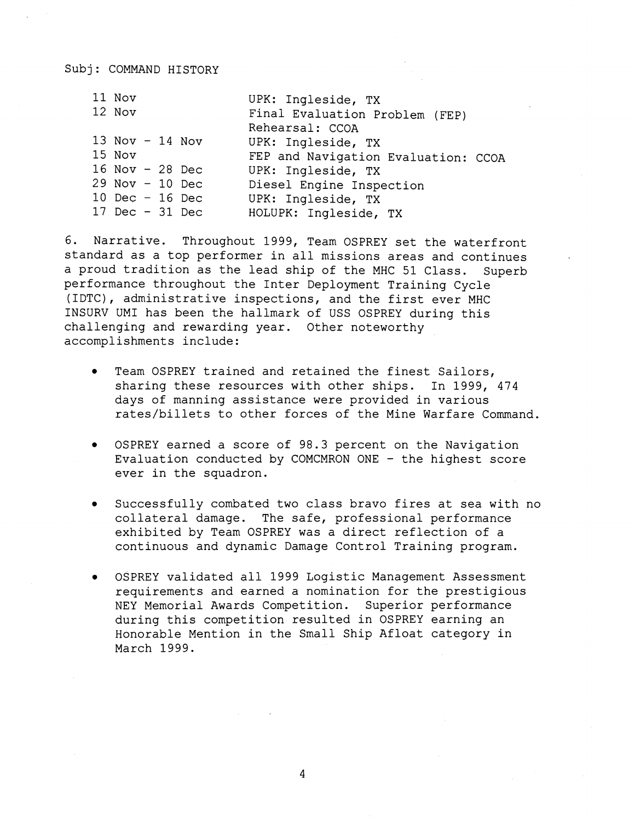| 11 Nov            | UPK: Ingleside, TX                  |
|-------------------|-------------------------------------|
| 12 Nov            | Final Evaluation Problem (FEP)      |
|                   | Rehearsal: CCOA                     |
| 13 Nov $-$ 14 Nov | UPK: Ingleside, TX                  |
| 15 Nov            | FEP and Navigation Evaluation: CCOA |
| 16 Nov - 28 Dec   | UPK: Ingleside, TX                  |
| $29$ Nov - 10 Dec | Diesel Engine Inspection            |
| 10 Dec $-$ 16 Dec | UPK: Ingleside, TX                  |
| 17 Dec $-31$ Dec  | HOLUPK: Ingleside, TX               |
|                   |                                     |

6. Narrative. Throughout 1999, Team OSPREY set the waterfront standard as a top performer in all missions areas and continues a proud tradition as the lead ship of the MHC 51 Class. Superb performance throughout the Inter Deployment Training Cycle (IDTC), administrative inspections, and the first ever MHC INSURV UMI has been the hallmark of USS OSPREY during this challenging and rewarding year. Other noteworthy accomplishments include:

- Team OSPREY trained and retained the finest Sailors,  $\bullet$ sharing these resources with other ships. In 1999, 474 days of manning assistance were provided in various rates/billets to other forces of the Mine Warfare Command.
- OSPREY earned a score of 98.3 percent on the Navigation Evaluation conducted by COMCMRON ONE - the highest score ever in the squadron.
- Successfully combated two class bravo fires at sea with no  $\bullet$ collateral damage. The safe, professional performance exhibited by Team OSPREY was a direct reflection of a continuous and dynamic Damage Control Training program.
- OSPREY validated all 1999 Logistic Management Assessment requirements and earned a nomination for the prestigious NEY Memorial Awards Competition. Superior performance during this competition resulted in OSPREY earning an Honorable Mention in the Small Ship Afloat category in March 1999.